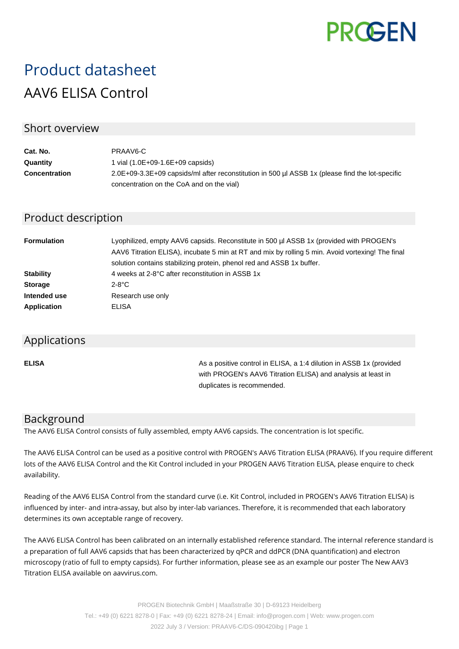

# Product datasheet AAV6 ELISA Control

## Short overview

| Cat. No.             | PRAAV6-C                                                                                        |
|----------------------|-------------------------------------------------------------------------------------------------|
| Quantity             | 1 vial $(1.0E+09-1.6E+09$ capsids)                                                              |
| <b>Concentration</b> | 2.0E+09-3.3E+09 capsids/ml after reconstitution in 500 µl ASSB 1x (please find the lot-specific |
|                      | concentration on the CoA and on the vial)                                                       |

# Product description

| <b>Formulation</b> | Lyophilized, empty AAV6 capsids. Reconstitute in 500 µl ASSB 1x (provided with PROGEN's<br>AAV6 Titration ELISA), incubate 5 min at RT and mix by rolling 5 min. Avoid vortexing! The final<br>solution contains stabilizing protein, phenol red and ASSB 1x buffer. |
|--------------------|----------------------------------------------------------------------------------------------------------------------------------------------------------------------------------------------------------------------------------------------------------------------|
| <b>Stability</b>   | 4 weeks at 2-8°C after reconstitution in ASSB 1x                                                                                                                                                                                                                     |
| <b>Storage</b>     | $2-8$ °C                                                                                                                                                                                                                                                             |
| Intended use       | Research use only                                                                                                                                                                                                                                                    |
| <b>Application</b> | ELISA                                                                                                                                                                                                                                                                |

#### Applications

**ELISA As a positive control in ELISA, a 1:4 dilution in ASSB 1x (provided Assets** 1:4 dilution in ASSB 1x (provided with PROGEN's AAV6 Titration ELISA) and analysis at least in duplicates is recommended.

## Background

The AAV6 ELISA Control consists of fully assembled, empty AAV6 capsids. The concentration is lot specific.

The AAV6 ELISA Control can be used as a positive control with PROGEN's AAV6 Titration ELISA (PRAAV6). If you require different lots of the AAV6 ELISA Control and the Kit Control included in your PROGEN AAV6 Titration ELISA, please enquire to check availability.

Reading of the AAV6 ELISA Control from the standard curve (i.e. Kit Control, included in PROGEN's AAV6 Titration ELISA) is influenced by inter- and intra-assay, but also by inter-lab variances. Therefore, it is recommended that each laboratory determines its own acceptable range of recovery.

The AAV6 ELISA Control has been calibrated on an internally established reference standard. The internal reference standard is a preparation of full AAV6 capsids that has been characterized by qPCR and ddPCR (DNA quantification) and electron microscopy (ratio of full to empty capsids). For further information, please see as an example our poster The New AAV3 Titration ELISA available on aavvirus.com.